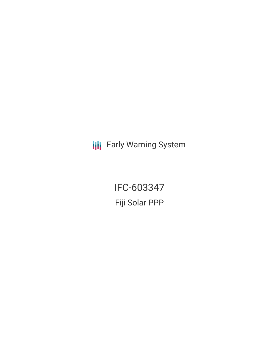**III** Early Warning System

IFC-603347 Fiji Solar PPP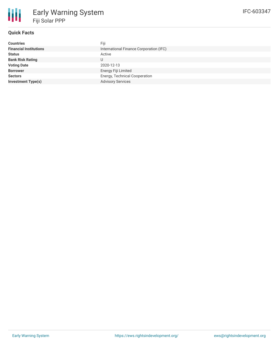

## **Quick Facts**

| Fiji                                    |  |  |  |
|-----------------------------------------|--|--|--|
| International Finance Corporation (IFC) |  |  |  |
| Active                                  |  |  |  |
| U                                       |  |  |  |
| 2020-12-13                              |  |  |  |
| Energy Fiji Limited                     |  |  |  |
| Energy, Technical Cooperation           |  |  |  |
| <b>Advisory Services</b>                |  |  |  |
|                                         |  |  |  |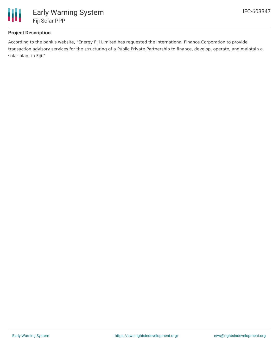

## **Project Description**

According to the bank's website, "Energy Fiji Limited has requested the International Finance Corporation to provide transaction advisory services for the structuring of a Public Private Partnership to finance, develop, operate, and maintain a solar plant in Fiji."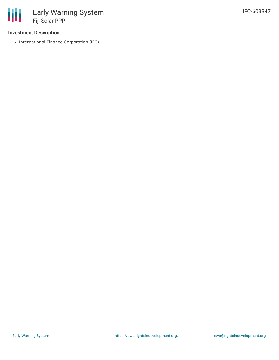## **Investment Description**

• International Finance Corporation (IFC)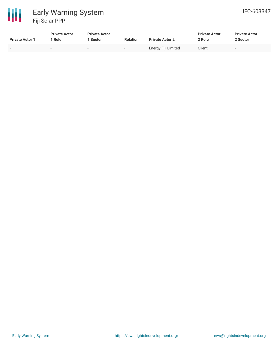

| <b>Private Actor 1</b> | <b>Private Actor</b><br>Role | <b>Private Actor</b><br><b>Sector</b> | <b>Relation</b>          | <b>Private Actor 2</b> | <b>Private Actor</b><br>2 Role | <b>Private Actor</b><br>2 Sector |
|------------------------|------------------------------|---------------------------------------|--------------------------|------------------------|--------------------------------|----------------------------------|
|                        | -                            | $\overline{\phantom{a}}$              | $\overline{\phantom{a}}$ | Energy Fiji Limited    | Client                         |                                  |